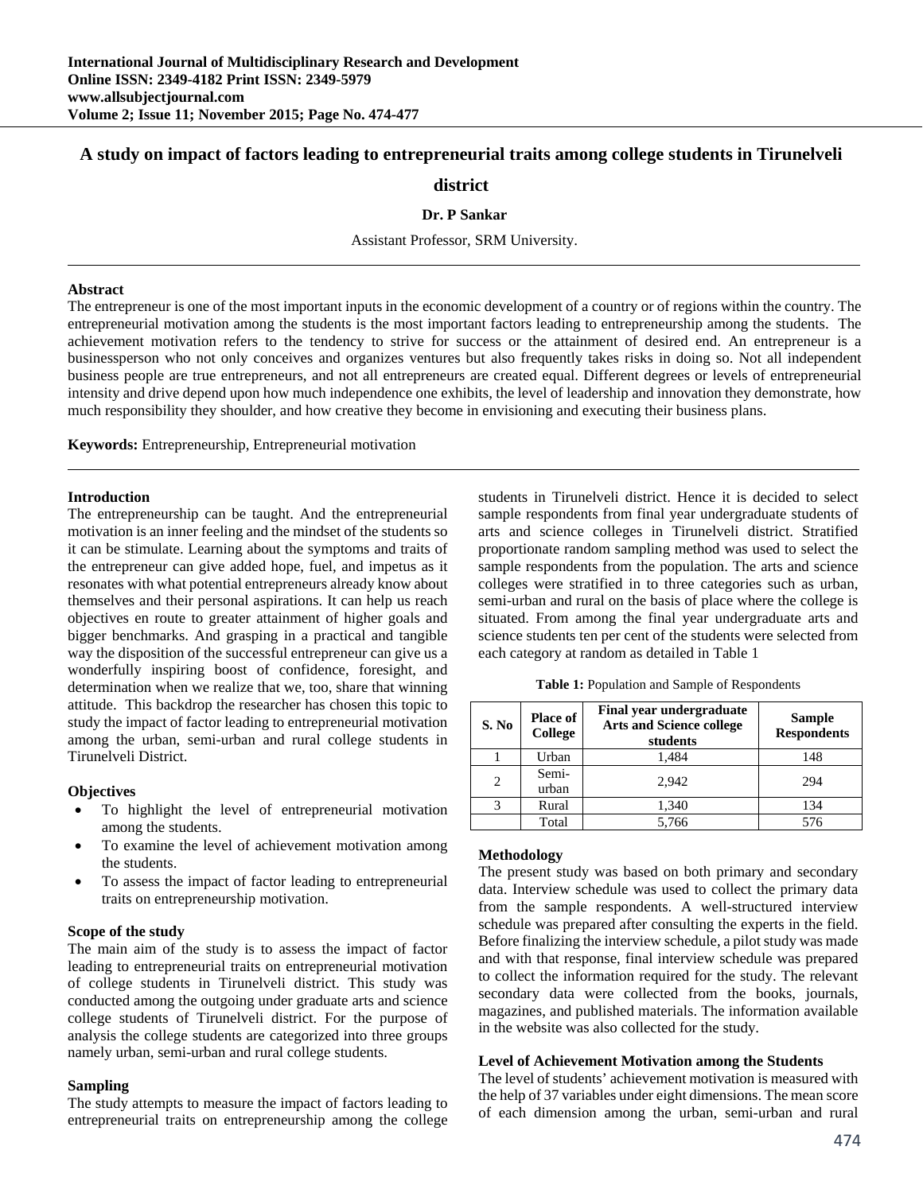# **A study on impact of factors leading to entrepreneurial traits among college students in Tirunelveli**

# **district**

### **Dr. P Sankar**

Assistant Professor, SRM University.

#### **Abstract**

The entrepreneur is one of the most important inputs in the economic development of a country or of regions within the country. The entrepreneurial motivation among the students is the most important factors leading to entrepreneurship among the students. The achievement motivation refers to the tendency to strive for success or the attainment of desired end. An entrepreneur is a businessperson who not only conceives and organizes ventures but also frequently takes risks in doing so. Not all independent business people are true entrepreneurs, and not all entrepreneurs are created equal. Different degrees or levels of entrepreneurial intensity and drive depend upon how much independence one exhibits, the level of leadership and innovation they demonstrate, how much responsibility they shoulder, and how creative they become in envisioning and executing their business plans.

**Keywords:** Entrepreneurship, Entrepreneurial motivation

### **Introduction**

The entrepreneurship can be taught. And the entrepreneurial motivation is an inner feeling and the mindset of the students so it can be stimulate. Learning about the symptoms and traits of the entrepreneur can give added hope, fuel, and impetus as it resonates with what potential entrepreneurs already know about themselves and their personal aspirations. It can help us reach objectives en route to greater attainment of higher goals and bigger benchmarks. And grasping in a practical and tangible way the disposition of the successful entrepreneur can give us a wonderfully inspiring boost of confidence, foresight, and determination when we realize that we, too, share that winning attitude. This backdrop the researcher has chosen this topic to study the impact of factor leading to entrepreneurial motivation among the urban, semi-urban and rural college students in Tirunelveli District.

### **Objectives**

- To highlight the level of entrepreneurial motivation among the students.
- To examine the level of achievement motivation among the students.
- To assess the impact of factor leading to entrepreneurial traits on entrepreneurship motivation.

### **Scope of the study**

The main aim of the study is to assess the impact of factor leading to entrepreneurial traits on entrepreneurial motivation of college students in Tirunelveli district. This study was conducted among the outgoing under graduate arts and science college students of Tirunelveli district. For the purpose of analysis the college students are categorized into three groups namely urban, semi-urban and rural college students.

# **Sampling**

The study attempts to measure the impact of factors leading to entrepreneurial traits on entrepreneurship among the college students in Tirunelveli district. Hence it is decided to select sample respondents from final year undergraduate students of arts and science colleges in Tirunelveli district. Stratified proportionate random sampling method was used to select the sample respondents from the population. The arts and science colleges were stratified in to three categories such as urban, semi-urban and rural on the basis of place where the college is situated. From among the final year undergraduate arts and science students ten per cent of the students were selected from each category at random as detailed in Table 1

**Table 1:** Population and Sample of Respondents

| S. No | Place of<br>College | <b>Final year undergraduate</b><br><b>Arts and Science college</b><br>students | <b>Sample</b><br><b>Respondents</b> |  |
|-------|---------------------|--------------------------------------------------------------------------------|-------------------------------------|--|
|       | Urban               | 1,484                                                                          | 148                                 |  |
| 2     | Semi-<br>urban      | 2.942                                                                          | 294                                 |  |
| 3     | Rural               | 1,340                                                                          | 134                                 |  |
|       | Total               | 5,766                                                                          | 576                                 |  |

### **Methodology**

The present study was based on both primary and secondary data. Interview schedule was used to collect the primary data from the sample respondents. A well-structured interview schedule was prepared after consulting the experts in the field. Before finalizing the interview schedule, a pilot study was made and with that response, final interview schedule was prepared to collect the information required for the study. The relevant secondary data were collected from the books, journals, magazines, and published materials. The information available in the website was also collected for the study.

### **Level of Achievement Motivation among the Students**

The level of students' achievement motivation is measured with the help of 37 variables under eight dimensions. The mean score of each dimension among the urban, semi-urban and rural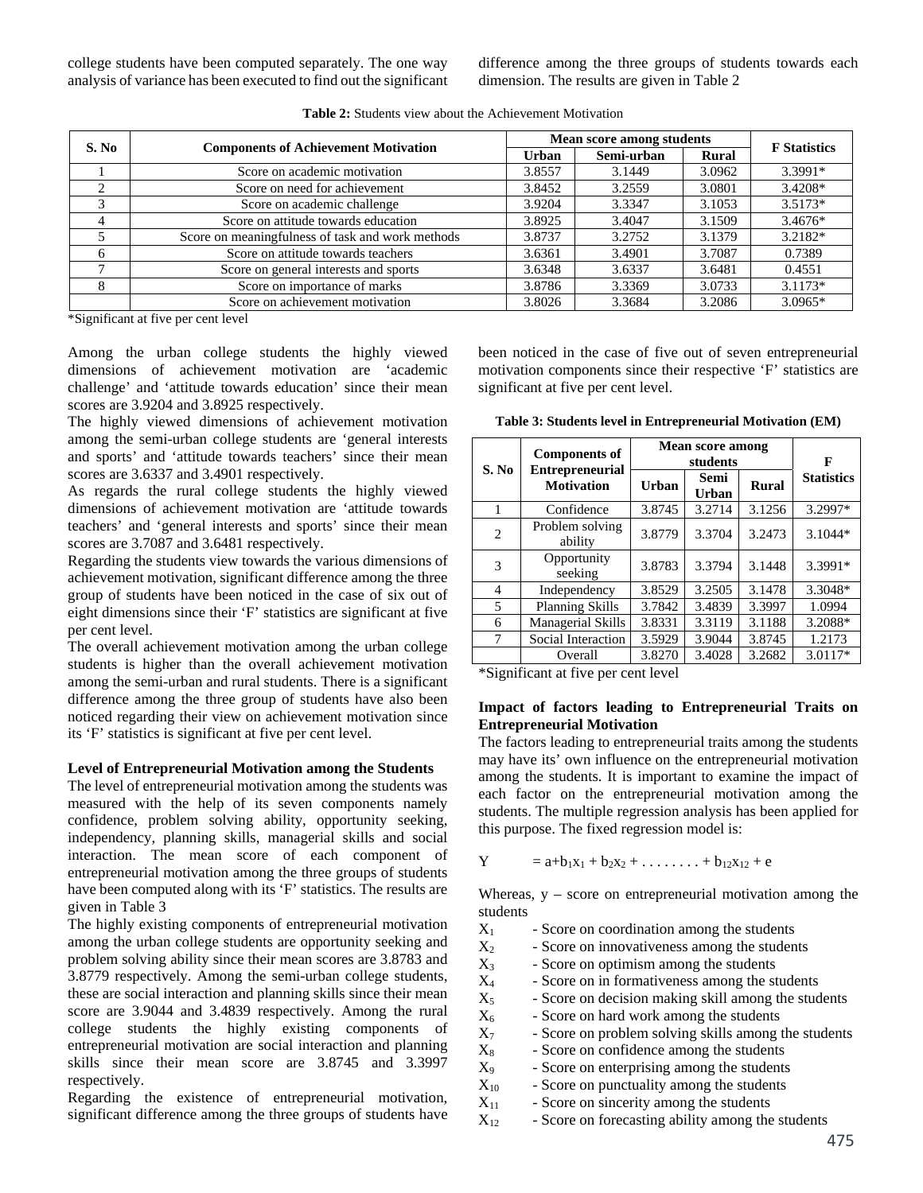college students have been computed separately. The one way analysis of variance has been executed to find out the significant difference among the three groups of students towards each dimension. The results are given in Table 2

| S. No        |                                                  |              | Mean score among students |        |                     |
|--------------|--------------------------------------------------|--------------|---------------------------|--------|---------------------|
|              | <b>Components of Achievement Motivation</b>      | <b>Urban</b> | Semi-urban                | Rural  | <b>F</b> Statistics |
|              | Score on academic motivation                     | 3.8557       | 3.1449                    | 3.0962 | 3.3991*             |
| ◠            | Score on need for achievement                    | 3.8452       | 3.2559                    | 3.0801 | 3.4208*             |
|              | Score on academic challenge                      | 3.9204       | 3.3347                    | 3.1053 | $3.5173*$           |
|              | Score on attitude towards education              | 3.8925       | 3.4047                    | 3.1509 | $3.4676*$           |
|              | Score on meaningfulness of task and work methods | 3.8737       | 3.2752                    | 3.1379 | 3.2182*             |
| <sub>0</sub> | Score on attitude towards teachers               | 3.6361       | 3.4901                    | 3.7087 | 0.7389              |
|              | Score on general interests and sports            | 3.6348       | 3.6337                    | 3.6481 | 0.4551              |
| 8            | Score on importance of marks                     | 3.8786       | 3.3369                    | 3.0733 | $3.1173*$           |
|              | Score on achievement motivation                  | 3.8026       | 3.3684                    | 3.2086 | $3.0965*$           |

**Table 2:** Students view about the Achievement Motivation

\*Significant at five per cent level

Among the urban college students the highly viewed dimensions of achievement motivation are 'academic challenge' and 'attitude towards education' since their mean scores are 3.9204 and 3.8925 respectively.

The highly viewed dimensions of achievement motivation among the semi-urban college students are 'general interests and sports' and 'attitude towards teachers' since their mean scores are 3.6337 and 3.4901 respectively.

As regards the rural college students the highly viewed dimensions of achievement motivation are 'attitude towards teachers' and 'general interests and sports' since their mean scores are 3.7087 and 3.6481 respectively.

Regarding the students view towards the various dimensions of achievement motivation, significant difference among the three group of students have been noticed in the case of six out of eight dimensions since their 'F' statistics are significant at five per cent level.

The overall achievement motivation among the urban college students is higher than the overall achievement motivation among the semi-urban and rural students. There is a significant difference among the three group of students have also been noticed regarding their view on achievement motivation since its 'F' statistics is significant at five per cent level.

# **Level of Entrepreneurial Motivation among the Students**

The level of entrepreneurial motivation among the students was measured with the help of its seven components namely confidence, problem solving ability, opportunity seeking, independency, planning skills, managerial skills and social interaction. The mean score of each component of entrepreneurial motivation among the three groups of students have been computed along with its 'F' statistics. The results are given in Table 3

The highly existing components of entrepreneurial motivation among the urban college students are opportunity seeking and problem solving ability since their mean scores are 3.8783 and 3.8779 respectively. Among the semi-urban college students, these are social interaction and planning skills since their mean score are 3.9044 and 3.4839 respectively. Among the rural college students the highly existing components of entrepreneurial motivation are social interaction and planning skills since their mean score are 3.8745 and 3.3997 respectively.

Regarding the existence of entrepreneurial motivation, significant difference among the three groups of students have been noticed in the case of five out of seven entrepreneurial motivation components since their respective 'F' statistics are significant at five per cent level.

**Table 3: Students level in Entrepreneurial Motivation (EM)**

| S. No          | <b>Components of</b><br><b>Entrepreneurial</b> | Mean score among | F             |              |                   |
|----------------|------------------------------------------------|------------------|---------------|--------------|-------------------|
|                | <b>Motivation</b>                              | <b>Urban</b>     | Semi<br>Urban | <b>Rural</b> | <b>Statistics</b> |
| 1              | Confidence                                     | 3.8745           | 3.2714        | 3.1256       | 3.2997*           |
| $\overline{c}$ | Problem solving<br>ability                     | 3.8779           | 3.3704        | 3.2473       | $3.1044*$         |
| 3              | Opportunity<br>seeking                         | 3.8783           | 3.3794        | 3.1448       | 3.3991*           |
| $\overline{4}$ | Independency                                   | 3.8529           | 3.2505        | 3.1478       | 3.3048*           |
| 5              | <b>Planning Skills</b>                         | 3.7842           | 3.4839        | 3.3997       | 1.0994            |
| 6              | Managerial Skills                              | 3.8331           | 3.3119        | 3.1188       | 3.2088*           |
| 7              | Social Interaction                             | 3.5929           | 3.9044        | 3.8745       | 1.2173            |
|                | Overall                                        | 3.8270           | 3.4028        | 3.2682       | $3.0117*$         |

\*Significant at five per cent level

### **Impact of factors leading to Entrepreneurial Traits on Entrepreneurial Motivation**

The factors leading to entrepreneurial traits among the students may have its' own influence on the entrepreneurial motivation among the students. It is important to examine the impact of each factor on the entrepreneurial motivation among the students. The multiple regression analysis has been applied for this purpose. The fixed regression model is:

$$
Y = a + b_1x_1 + b_2x_2 + \ldots + b_{12}x_{12} + e
$$

Whereas,  $y - score$  on entrepreneurial motivation among the students

| $X_1$     | - Score on coordination among the students           |
|-----------|------------------------------------------------------|
| $X_2$     | - Score on innovativeness among the students         |
| $X_3$     | - Score on optimism among the students               |
| $X_4$     | - Score on in formativeness among the students       |
| $X_5$     | - Score on decision making skill among the students  |
| $X_6$     | - Score on hard work among the students              |
| $X_7$     | - Score on problem solving skills among the students |
| $\rm X_8$ | - Score on confidence among the students             |
| $X_9$     | - Score on enterprising among the students           |
| TT.       |                                                      |

- $X_{10}$  Score on punctuality among the students
- $X_{11}$  Score on sincerity among the students
- $X_{12}$  Score on forecasting ability among the students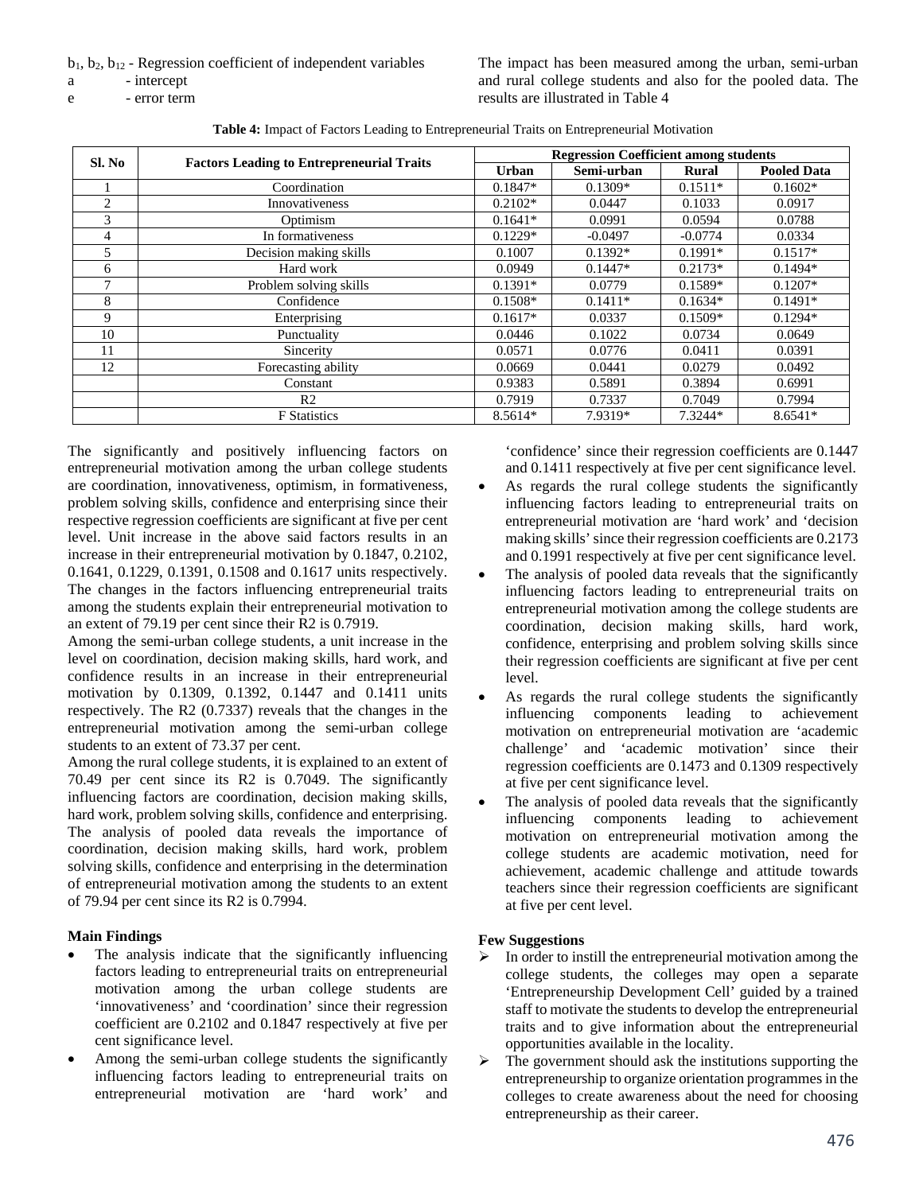$b_1$ ,  $b_2$ ,  $b_{12}$  - Regression coefficient of independent variables

- a intercept
- e error term

The impact has been measured among the urban, semi-urban and rural college students and also for the pooled data. The results are illustrated in Table 4

| Table 4: Impact of Factors Leading to Entrepreneurial Traits on Entrepreneurial Motivation |  |
|--------------------------------------------------------------------------------------------|--|
|--------------------------------------------------------------------------------------------|--|

| Sl. No         | <b>Factors Leading to Entrepreneurial Traits</b> | <b>Regression Coefficient among students</b> |            |              |                    |
|----------------|--------------------------------------------------|----------------------------------------------|------------|--------------|--------------------|
|                |                                                  | Urban                                        | Semi-urban | <b>Rural</b> | <b>Pooled Data</b> |
|                | Coordination                                     | $0.1847*$                                    | $0.1309*$  | $0.1511*$    | $0.1602*$          |
| $\overline{2}$ | Innovativeness                                   | $0.2102*$                                    | 0.0447     | 0.1033       | 0.0917             |
| 3              | Optimism                                         | $0.1641*$                                    | 0.0991     | 0.0594       | 0.0788             |
| 4              | In formativeness                                 | $0.1229*$                                    | $-0.0497$  | $-0.0774$    | 0.0334             |
| 5              | Decision making skills                           | 0.1007                                       | $0.1392*$  | $0.1991*$    | $0.1517*$          |
| 6              | Hard work                                        | 0.0949                                       | $0.1447*$  | $0.2173*$    | $0.1494*$          |
| ⇁              | Problem solving skills                           | $0.1391*$                                    | 0.0779     | $0.1589*$    | $0.1207*$          |
| 8              | Confidence                                       | $0.1508*$                                    | $0.1411*$  | $0.1634*$    | $0.1491*$          |
| 9              | Enterprising                                     | $0.1617*$                                    | 0.0337     | $0.1509*$    | $0.1294*$          |
| 10             | Punctuality                                      | 0.0446                                       | 0.1022     | 0.0734       | 0.0649             |
| 11             | Sincerity                                        | 0.0571                                       | 0.0776     | 0.0411       | 0.0391             |
| 12             | Forecasting ability                              | 0.0669                                       | 0.0441     | 0.0279       | 0.0492             |
|                | Constant                                         | 0.9383                                       | 0.5891     | 0.3894       | 0.6991             |
|                | R <sub>2</sub>                                   | 0.7919                                       | 0.7337     | 0.7049       | 0.7994             |
|                | <b>F</b> Statistics                              | 8.5614*                                      | 7.9319*    | 7.3244*      | $8.6541*$          |

The significantly and positively influencing factors on entrepreneurial motivation among the urban college students are coordination, innovativeness, optimism, in formativeness, problem solving skills, confidence and enterprising since their respective regression coefficients are significant at five per cent level. Unit increase in the above said factors results in an increase in their entrepreneurial motivation by 0.1847, 0.2102, 0.1641, 0.1229, 0.1391, 0.1508 and 0.1617 units respectively. The changes in the factors influencing entrepreneurial traits among the students explain their entrepreneurial motivation to an extent of 79.19 per cent since their R2 is 0.7919.

Among the semi-urban college students, a unit increase in the level on coordination, decision making skills, hard work, and confidence results in an increase in their entrepreneurial motivation by 0.1309, 0.1392, 0.1447 and 0.1411 units respectively. The R2 (0.7337) reveals that the changes in the entrepreneurial motivation among the semi-urban college students to an extent of 73.37 per cent.

Among the rural college students, it is explained to an extent of 70.49 per cent since its R2 is 0.7049. The significantly influencing factors are coordination, decision making skills, hard work, problem solving skills, confidence and enterprising. The analysis of pooled data reveals the importance of coordination, decision making skills, hard work, problem solving skills, confidence and enterprising in the determination of entrepreneurial motivation among the students to an extent of 79.94 per cent since its R2 is 0.7994.

# **Main Findings**

- The analysis indicate that the significantly influencing factors leading to entrepreneurial traits on entrepreneurial motivation among the urban college students are 'innovativeness' and 'coordination' since their regression coefficient are 0.2102 and 0.1847 respectively at five per cent significance level.
- Among the semi-urban college students the significantly influencing factors leading to entrepreneurial traits on entrepreneurial motivation are 'hard work' and

'confidence' since their regression coefficients are 0.1447 and 0.1411 respectively at five per cent significance level.

- As regards the rural college students the significantly influencing factors leading to entrepreneurial traits on entrepreneurial motivation are 'hard work' and 'decision making skills' since their regression coefficients are 0.2173 and 0.1991 respectively at five per cent significance level.
- The analysis of pooled data reveals that the significantly influencing factors leading to entrepreneurial traits on entrepreneurial motivation among the college students are coordination, decision making skills, hard work, confidence, enterprising and problem solving skills since their regression coefficients are significant at five per cent level.
- As regards the rural college students the significantly influencing components leading to achievement motivation on entrepreneurial motivation are 'academic challenge' and 'academic motivation' since their regression coefficients are 0.1473 and 0.1309 respectively at five per cent significance level.
- The analysis of pooled data reveals that the significantly influencing components leading to achievement motivation on entrepreneurial motivation among the college students are academic motivation, need for achievement, academic challenge and attitude towards teachers since their regression coefficients are significant at five per cent level.

# **Few Suggestions**

- In order to instill the entrepreneurial motivation among the college students, the colleges may open a separate 'Entrepreneurship Development Cell' guided by a trained staff to motivate the students to develop the entrepreneurial traits and to give information about the entrepreneurial opportunities available in the locality.
- $\triangleright$  The government should ask the institutions supporting the entrepreneurship to organize orientation programmes in the colleges to create awareness about the need for choosing entrepreneurship as their career.